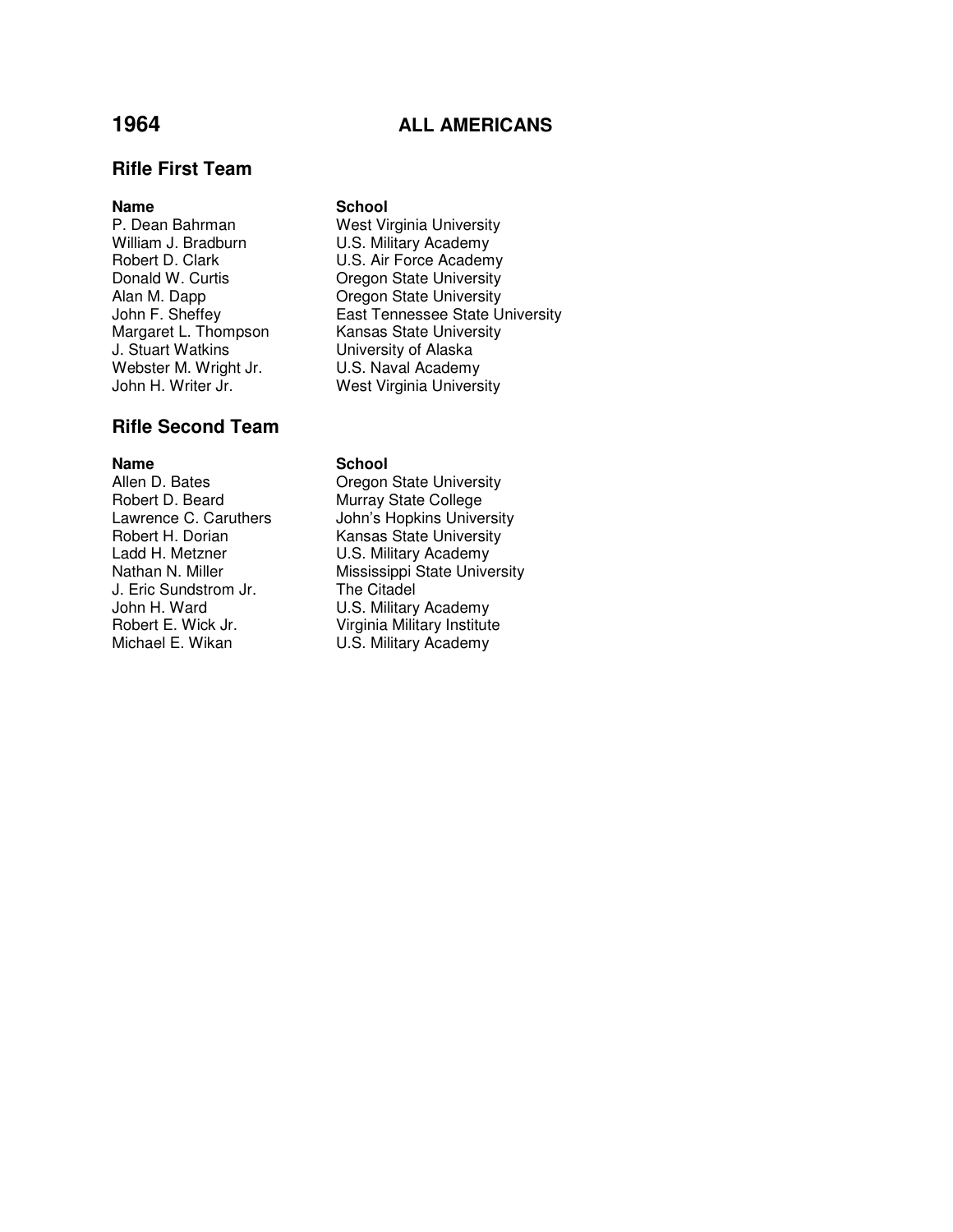# **1964 ALL AMERICANS**

## **Rifle First Team**

William J. Bradburn **U.S. Military Academy**<br>
Robert D. Clark **U.S. Air Force Academ** Webster M. Wright Jr.<br>John H. Writer Jr.

## **Rifle Second Team**

J. Eric Sundstrom Jr.<br>John H. Ward John H. Ward U.S. Military Academy

### **Name** School

P. Dean Bahrman West Virginia University Robert D. Clark **U.S. Air Force Academy**<br>
Donald W. Curtis **Cregon** State University **Oregon State University** Alan M. Dapp Cregon State University<br>
John F. Sheffey Cast Tennessee State U East Tennessee State University Margaret L. Thompson Kansas State University<br>
J. Stuart Watkins Christersity of Alaska University of Alaska<br>U.S. Naval Academy West Virginia University

### **Name** School

Allen D. Bates **Callen B. Bates** Oregon State University<br>
Robert D. Beard **Murray State College** Murray State College Lawrence C. Caruthers **John's Hopkins University**<br>
Robert H. Dorian **G. L. C. L. C. L. C. L. C. L. C. L. C. L. C. L. C. C. L. C. C. C. L. C. C. C. L. C. C. C. C.** Robert H. Dorian **Kansas State University**<br>
Ladd H. Metzner **M. B. Military Academy** U.S. Military Academy Nathan N. Miller Mississippi State University<br>
J. Eric Sundstrom Jr. The Citadel Robert E. Wick Jr. Virginia Military Institute<br>Michael E. Wikan U.S. Military Academy U.S. Military Academy